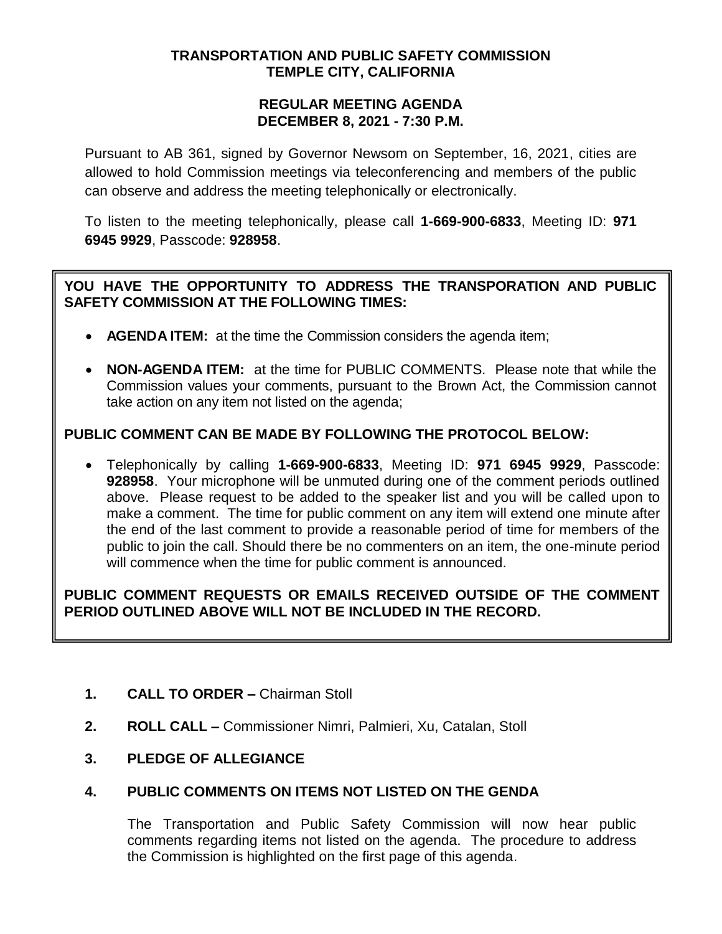## **TRANSPORTATION AND PUBLIC SAFETY COMMISSION TEMPLE CITY, CALIFORNIA**

### **REGULAR MEETING AGENDA DECEMBER 8, 2021 - 7:30 P.M.**

Pursuant to AB 361, signed by Governor Newsom on September, 16, 2021, cities are allowed to hold Commission meetings via teleconferencing and members of the public can observe and address the meeting telephonically or electronically.

To listen to the meeting telephonically, please call **1-669-900-6833**, Meeting ID: **971 6945 9929**, Passcode: **928958**.

# **YOU HAVE THE OPPORTUNITY TO ADDRESS THE TRANSPORATION AND PUBLIC SAFETY COMMISSION AT THE FOLLOWING TIMES:**

- **AGENDA ITEM:** at the time the Commission considers the agenda item;
- **NON-AGENDA ITEM:** at the time for PUBLIC COMMENTS. Please note that while the Commission values your comments, pursuant to the Brown Act, the Commission cannot take action on any item not listed on the agenda;

# **PUBLIC COMMENT CAN BE MADE BY FOLLOWING THE PROTOCOL BELOW:**

 Telephonically by calling **1-669-900-6833**, Meeting ID: **971 6945 9929**, Passcode: **928958**. Your microphone will be unmuted during one of the comment periods outlined above. Please request to be added to the speaker list and you will be called upon to make a comment. The time for public comment on any item will extend one minute after the end of the last comment to provide a reasonable period of time for members of the public to join the call. Should there be no commenters on an item, the one-minute period will commence when the time for public comment is announced.

# **PUBLIC COMMENT REQUESTS OR EMAILS RECEIVED OUTSIDE OF THE COMMENT PERIOD OUTLINED ABOVE WILL NOT BE INCLUDED IN THE RECORD.**

- **1. CALL TO ORDER –** Chairman Stoll
- **2. ROLL CALL –** Commissioner Nimri, Palmieri, Xu, Catalan, Stoll
- **3. PLEDGE OF ALLEGIANCE**

# **4. PUBLIC COMMENTS ON ITEMS NOT LISTED ON THE GENDA**

The Transportation and Public Safety Commission will now hear public comments regarding items not listed on the agenda. The procedure to address the Commission is highlighted on the first page of this agenda.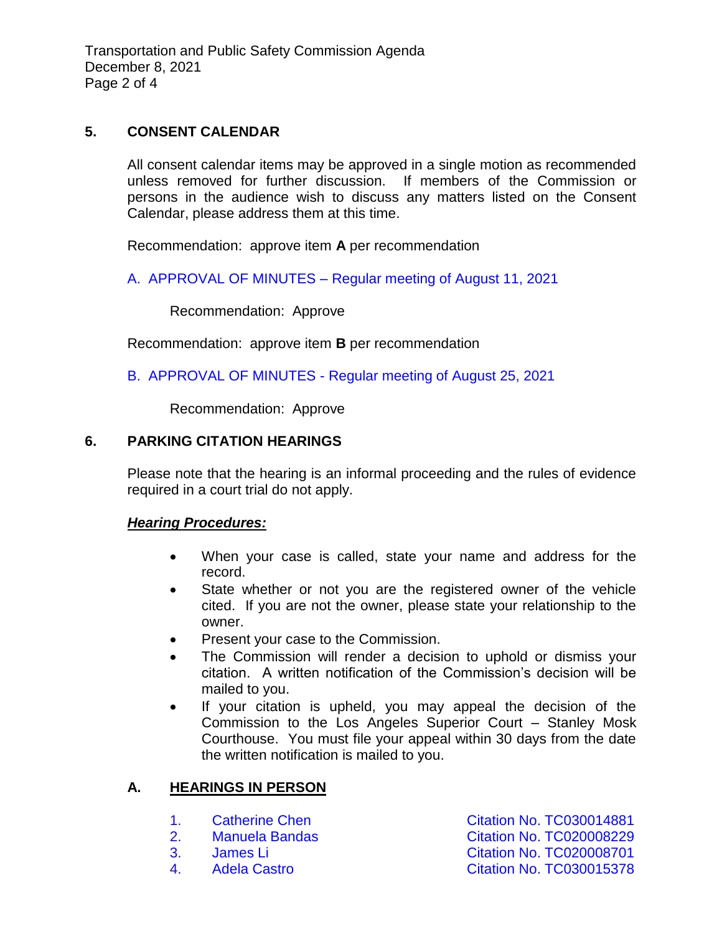Transportation and Public Safety Commission Agenda December 8, 2021 Page 2 of 4

## **5. CONSENT CALENDAR**

All consent calendar items may be approved in a single motion as recommended unless removed for further discussion. If members of the Commission or persons in the audience wish to discuss any matters listed on the Consent Calendar, please address them at this time.

Recommendation: approve item **A** per recommendation

A. APPROVAL OF MINUTES – [Regular meeting of August 11, 2021](/DocumentCenter/View/17083/TPSC-min-2021-08-11)

Recommendation: Approve

Recommendation: approve item **B** per recommendation

B. APPROVAL OF MINUTES - [Regular meeting of August 25, 2021](/DocumentCenter/View/17084/TPSC-min-2021-08-25)

Recommendation: Approve

### **6. PARKING CITATION HEARINGS**

Please note that the hearing is an informal proceeding and the rules of evidence required in a court trial do not apply.

#### *Hearing Procedures:*

- When your case is called, state your name and address for the record.
- State whether or not you are the registered owner of the vehicle cited. If you are not the owner, please state your relationship to the owner.
- Present your case to the Commission.
- The Commission will render a decision to uphold or dismiss your citation. A written notification of the Commission's decision will be mailed to you.
- If your citation is upheld, you may appeal the decision of the Commission to the Los Angeles Superior Court – Stanley Mosk Courthouse. You must file your appeal within 30 days from the date the written notification is mailed to you.

## **A. HEARINGS IN PERSON**

- 
- 
- 
- 

1. Catherine Chen Chen [Citation No. TC030014881](/DocumentCenter/View/17076/6A1-TC030014881_Redacted) 2. Manuela Bandas [Citation No. TC020008229](/DocumentCenter/View/17077/6A2-TC020008229_Redacted) 3. [James Li Citation No. TC020008701](/DocumentCenter/View/17078/6A3-TC020008701_Redacted) 4. [Adela Castro Citation No. TC030015378](/DocumentCenter/View/17079/6A4-TC030015378_Redacted)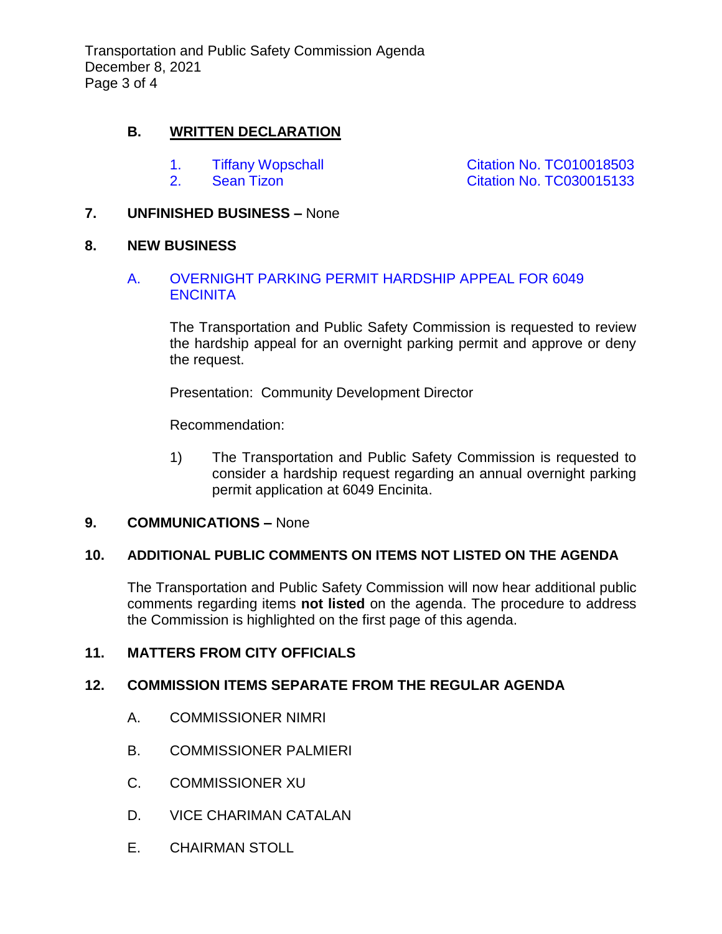Transportation and Public Safety Commission Agenda December 8, 2021 Page 3 of 4

## **B. WRITTEN DECLARATION**

- 
- 

1. Tiffany Wopschall **[Citation No. TC010018503](/DocumentCenter/View/17080/6B1-TC010018503_Redacted)** 2. Sean Tizon **[Citation No. TC030015133](/DocumentCenter/View/17081/6B2-TC030015133_Redacted)** 

## **7. UNFINISHED BUSINESS –** None

### **8. NEW BUSINESS**

## A. [OVERNIGHT PARKING PERMIT HARDSHIP APPEAL FOR 6049](/DocumentCenter/View/17082/8A-6049-Encinita-Ave_Redacted)  **[ENCINITA](/DocumentCenter/View/17082/8A-6049-Encinita-Ave_Redacted)**

The Transportation and Public Safety Commission is requested to review the hardship appeal for an overnight parking permit and approve or deny the request.

Presentation: Community Development Director

Recommendation:

1) The Transportation and Public Safety Commission is requested to consider a hardship request regarding an annual overnight parking permit application at 6049 Encinita.

## **9. COMMUNICATIONS –** None

## **10. ADDITIONAL PUBLIC COMMENTS ON ITEMS NOT LISTED ON THE AGENDA**

The Transportation and Public Safety Commission will now hear additional public comments regarding items **not listed** on the agenda. The procedure to address the Commission is highlighted on the first page of this agenda.

## **11. MATTERS FROM CITY OFFICIALS**

## **12. COMMISSION ITEMS SEPARATE FROM THE REGULAR AGENDA**

- A. COMMISSIONER NIMRI
- B. COMMISSIONER PALMIERI
- C. COMMISSIONER XU
- D. VICE CHARIMAN CATALAN
- E. CHAIRMAN STOLL